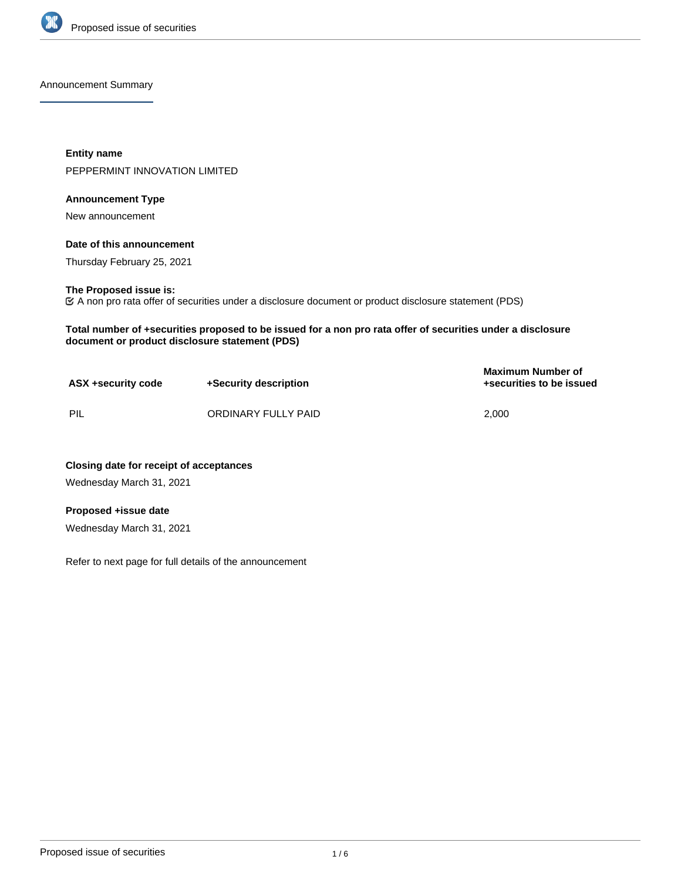

Announcement Summary

**Entity name** PEPPERMINT INNOVATION LIMITED

## **Announcement Type**

New announcement

## **Date of this announcement**

Thursday February 25, 2021

#### **The Proposed issue is:**

A non pro rata offer of securities under a disclosure document or product disclosure statement (PDS)

**Total number of +securities proposed to be issued for a non pro rata offer of securities under a disclosure document or product disclosure statement (PDS)**

| ASX +security code | +Security description | <b>Maximum Number of</b><br>+securities to be issued |
|--------------------|-----------------------|------------------------------------------------------|
| PIL                | ORDINARY FULLY PAID   | 2.000                                                |

**Closing date for receipt of acceptances** Wednesday March 31, 2021

## **Proposed +issue date**

Wednesday March 31, 2021

Refer to next page for full details of the announcement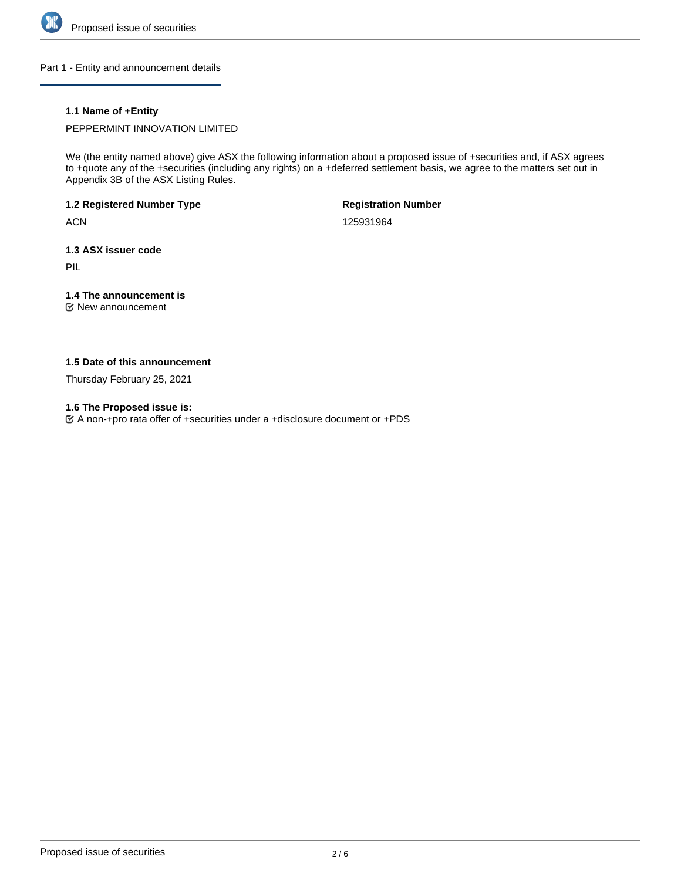

Part 1 - Entity and announcement details

## **1.1 Name of +Entity**

PEPPERMINT INNOVATION LIMITED

We (the entity named above) give ASX the following information about a proposed issue of +securities and, if ASX agrees to +quote any of the +securities (including any rights) on a +deferred settlement basis, we agree to the matters set out in Appendix 3B of the ASX Listing Rules.

**1.2 Registered Number Type**

**ACN** 

**Registration Number**

125931964

**1.3 ASX issuer code**

PIL

# **1.4 The announcement is**

New announcement

## **1.5 Date of this announcement**

Thursday February 25, 2021

**1.6 The Proposed issue is:**

A non-+pro rata offer of +securities under a +disclosure document or +PDS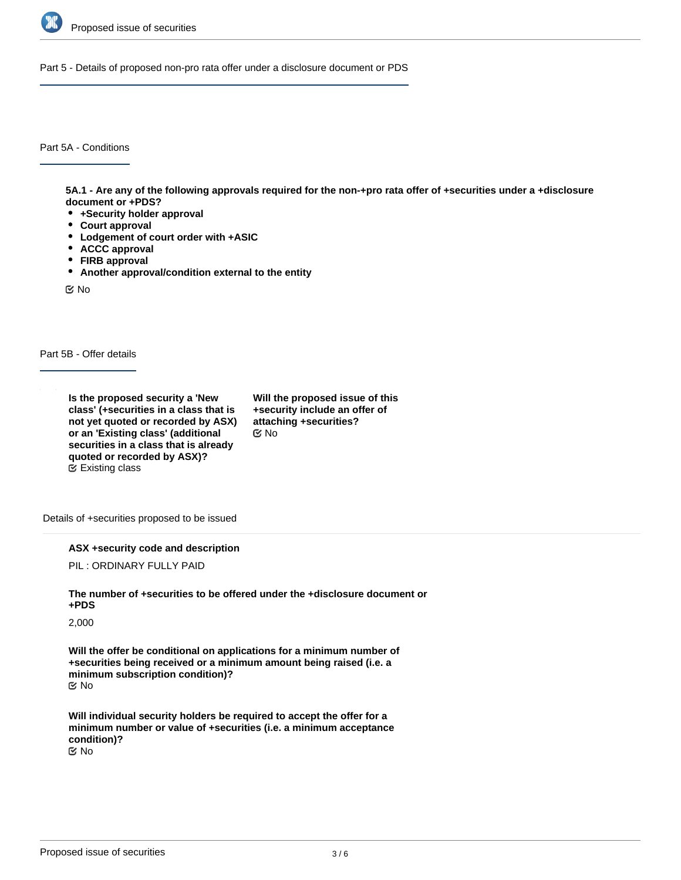

Part 5 - Details of proposed non-pro rata offer under a disclosure document or PDS

Part 5A - Conditions

**5A.1 - Are any of the following approvals required for the non-+pro rata offer of +securities under a +disclosure document or +PDS?**

- **+Security holder approval**
- **Court approval**
- **Lodgement of court order with +ASIC**
- **ACCC approval**
- **FIRB approval**
- **Another approval/condition external to the entity**

No

Part 5B - Offer details

**Is the proposed security a 'New class' (+securities in a class that is not yet quoted or recorded by ASX) or an 'Existing class' (additional securities in a class that is already quoted or recorded by ASX)?** Existing class

**Will the proposed issue of this +security include an offer of attaching +securities?** No

Details of +securities proposed to be issued

**ASX +security code and description**

PIL : ORDINARY FULLY PAID

**The number of +securities to be offered under the +disclosure document or +PDS**

2,000

**Will the offer be conditional on applications for a minimum number of +securities being received or a minimum amount being raised (i.e. a minimum subscription condition)?** No

**Will individual security holders be required to accept the offer for a minimum number or value of +securities (i.e. a minimum acceptance condition)?** No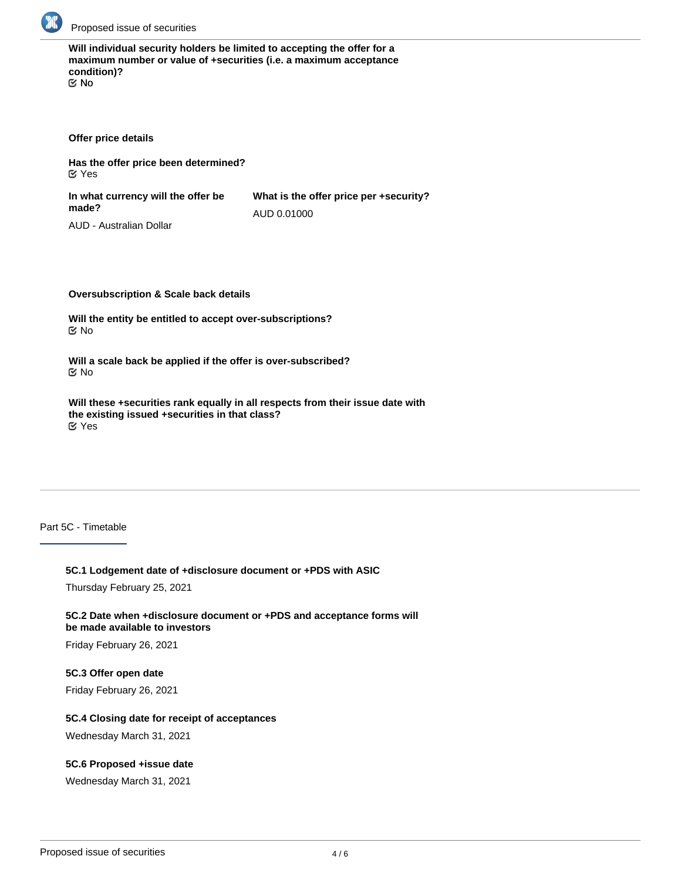

**Will individual security holders be limited to accepting the offer for a maximum number or value of +securities (i.e. a maximum acceptance condition)?** No

**Offer price details**

**Has the offer price been determined?** Yes

**In what currency will the offer be made? What is the offer price per +security?** AUD 0.01000

AUD - Australian Dollar

**Oversubscription & Scale back details**

**Will the entity be entitled to accept over-subscriptions?** No

**Will a scale back be applied if the offer is over-subscribed?** No

**Will these +securities rank equally in all respects from their issue date with the existing issued +securities in that class?** Yes

Part 5C - Timetable

## **5C.1 Lodgement date of +disclosure document or +PDS with ASIC**

Thursday February 25, 2021

**5C.2 Date when +disclosure document or +PDS and acceptance forms will be made available to investors**

Friday February 26, 2021

#### **5C.3 Offer open date**

Friday February 26, 2021

#### **5C.4 Closing date for receipt of acceptances**

Wednesday March 31, 2021

## **5C.6 Proposed +issue date**

Wednesday March 31, 2021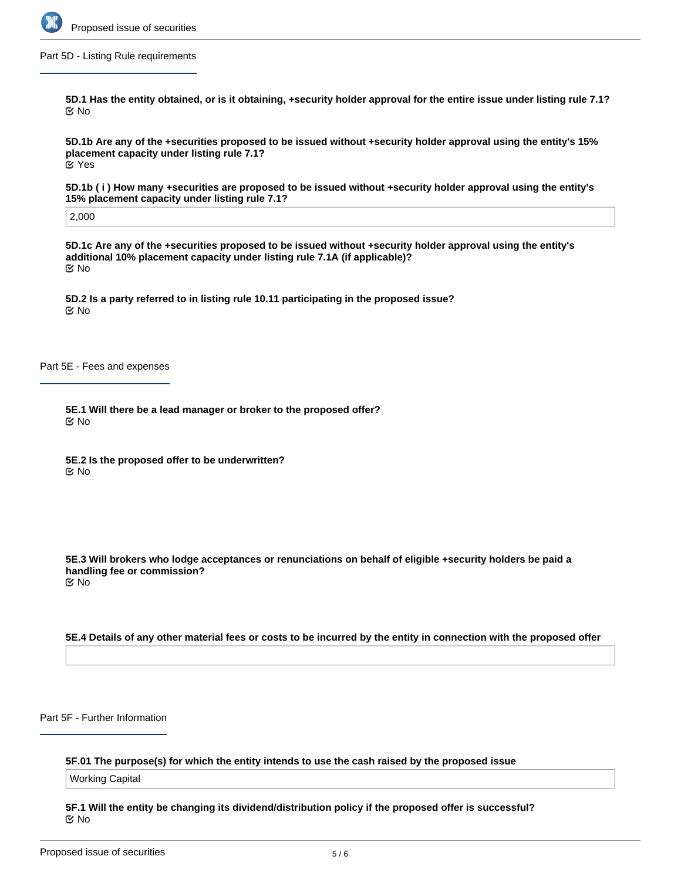

Part 5D - Listing Rule requirements

**5D.1 Has the entity obtained, or is it obtaining, +security holder approval for the entire issue under listing rule 7.1?** No

**5D.1b Are any of the +securities proposed to be issued without +security holder approval using the entity's 15% placement capacity under listing rule 7.1?** Yes

**5D.1b ( i ) How many +securities are proposed to be issued without +security holder approval using the entity's 15% placement capacity under listing rule 7.1?**

2,000

**5D.1c Are any of the +securities proposed to be issued without +security holder approval using the entity's additional 10% placement capacity under listing rule 7.1A (if applicable)?** No

**5D.2 Is a party referred to in listing rule 10.11 participating in the proposed issue?** No

Part 5E - Fees and expenses

**5E.1 Will there be a lead manager or broker to the proposed offer?** No

**5E.2 Is the proposed offer to be underwritten?** No

**5E.3 Will brokers who lodge acceptances or renunciations on behalf of eligible +security holders be paid a handling fee or commission?** No

#### **5E.4 Details of any other material fees or costs to be incurred by the entity in connection with the proposed offer**

Part 5F - Further Information

#### **5F.01 The purpose(s) for which the entity intends to use the cash raised by the proposed issue**

Working Capital

**5F.1 Will the entity be changing its dividend/distribution policy if the proposed offer is successful?** No